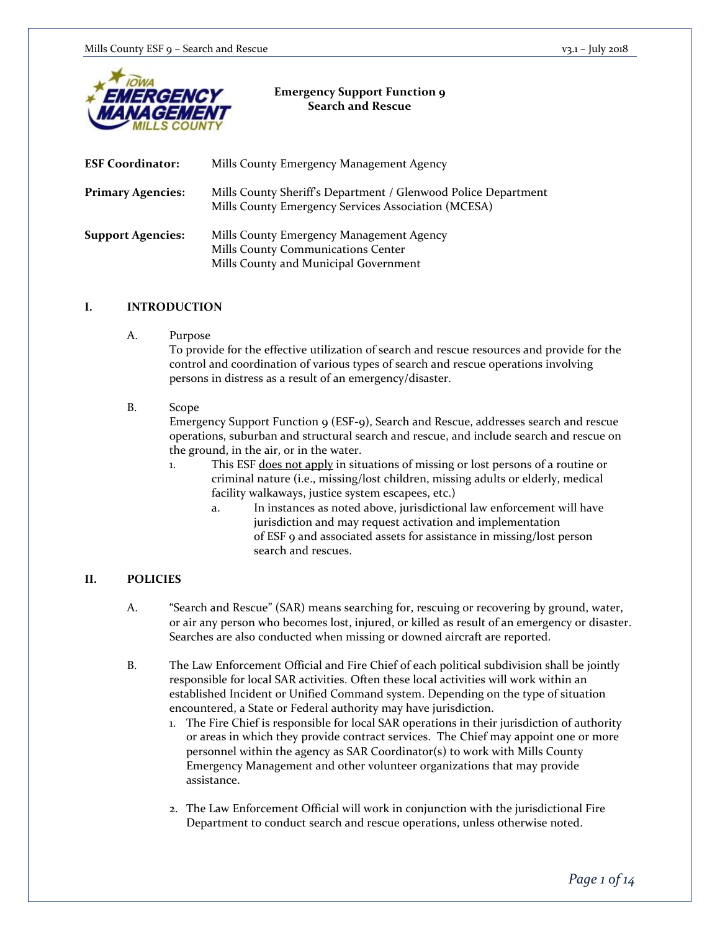

#### **Emergency Support Function 9 Search and Rescue**

| <b>ESF Coordinator:</b>  | Mills County Emergency Management Agency                                                                                |
|--------------------------|-------------------------------------------------------------------------------------------------------------------------|
| <b>Primary Agencies:</b> | Mills County Sheriff's Department / Glenwood Police Department<br>Mills County Emergency Services Association (MCESA)   |
| <b>Support Agencies:</b> | Mills County Emergency Management Agency<br>Mills County Communications Center<br>Mills County and Municipal Government |

### **I. INTRODUCTION**

A. Purpose

To provide for the effective utilization of search and rescue resources and provide for the control and coordination of various types of search and rescue operations involving persons in distress as a result of an emergency/disaster.

### B. Scope

Emergency Support Function 9 (ESF-9), Search and Rescue, addresses search and rescue operations, suburban and structural search and rescue, and include search and rescue on the ground, in the air, or in the water.

- 1. This ESF does not apply in situations of missing or lost persons of a routine or criminal nature (i.e., missing/lost children, missing adults or elderly, medical facility walkaways, justice system escapees, etc.)
	- a. In instances as noted above, jurisdictional law enforcement will have jurisdiction and may request activation and implementation of ESF 9 and associated assets for assistance in missing/lost person search and rescues.

## **II. POLICIES**

- A. "Search and Rescue" (SAR) means searching for, rescuing or recovering by ground, water, or air any person who becomes lost, injured, or killed as result of an emergency or disaster. Searches are also conducted when missing or downed aircraft are reported.
- B. The Law Enforcement Official and Fire Chief of each political subdivision shall be jointly responsible for local SAR activities. Often these local activities will work within an established Incident or Unified Command system. Depending on the type of situation encountered, a State or Federal authority may have jurisdiction.
	- 1. The Fire Chief is responsible for local SAR operations in their jurisdiction of authority or areas in which they provide contract services. The Chief may appoint one or more personnel within the agency as SAR Coordinator(s) to work with Mills County Emergency Management and other volunteer organizations that may provide assistance.
	- 2. The Law Enforcement Official will work in conjunction with the jurisdictional Fire Department to conduct search and rescue operations, unless otherwise noted.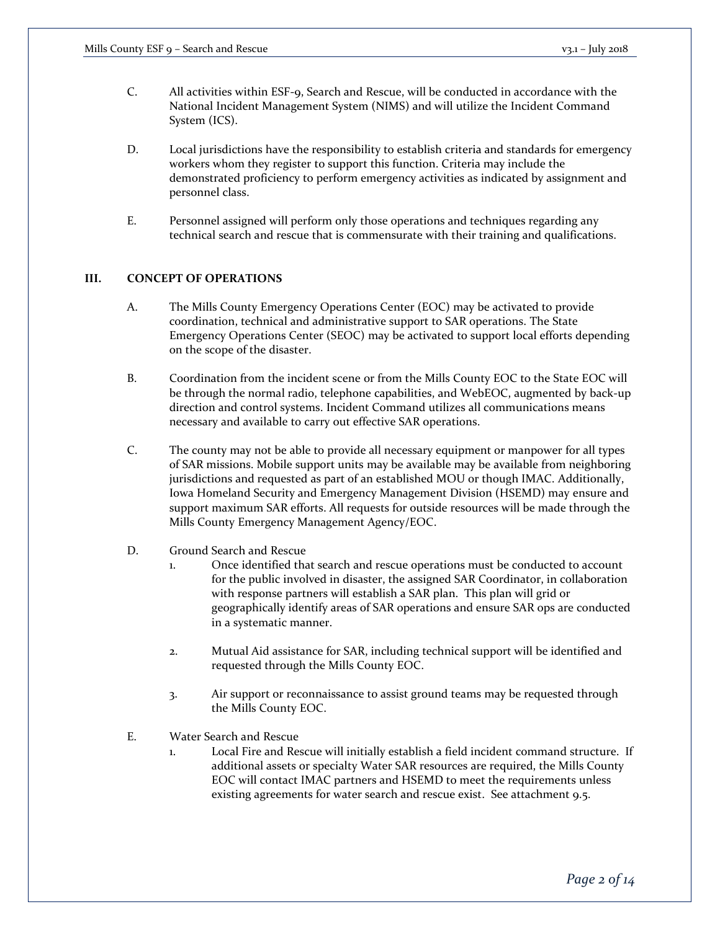- C. All activities within ESF-9, Search and Rescue, will be conducted in accordance with the National Incident Management System (NIMS) and will utilize the Incident Command System (ICS).
- D. Local jurisdictions have the responsibility to establish criteria and standards for emergency workers whom they register to support this function. Criteria may include the demonstrated proficiency to perform emergency activities as indicated by assignment and personnel class.
- E. Personnel assigned will perform only those operations and techniques regarding any technical search and rescue that is commensurate with their training and qualifications.

## **III. CONCEPT OF OPERATIONS**

- A. The Mills County Emergency Operations Center (EOC) may be activated to provide coordination, technical and administrative support to SAR operations. The State Emergency Operations Center (SEOC) may be activated to support local efforts depending on the scope of the disaster.
- B. Coordination from the incident scene or from the Mills County EOC to the State EOC will be through the normal radio, telephone capabilities, and WebEOC, augmented by back-up direction and control systems. Incident Command utilizes all communications means necessary and available to carry out effective SAR operations.
- C. The county may not be able to provide all necessary equipment or manpower for all types of SAR missions. Mobile support units may be available may be available from neighboring jurisdictions and requested as part of an established MOU or though IMAC. Additionally, Iowa Homeland Security and Emergency Management Division (HSEMD) may ensure and support maximum SAR efforts. All requests for outside resources will be made through the Mills County Emergency Management Agency/EOC.
- D. Ground Search and Rescue
	- 1. Once identified that search and rescue operations must be conducted to account for the public involved in disaster, the assigned SAR Coordinator, in collaboration with response partners will establish a SAR plan. This plan will grid or geographically identify areas of SAR operations and ensure SAR ops are conducted in a systematic manner.
	- 2. Mutual Aid assistance for SAR, including technical support will be identified and requested through the Mills County EOC.
	- 3. Air support or reconnaissance to assist ground teams may be requested through the Mills County EOC.
- E. Water Search and Rescue
	- 1. Local Fire and Rescue will initially establish a field incident command structure. If additional assets or specialty Water SAR resources are required, the Mills County EOC will contact IMAC partners and HSEMD to meet the requirements unless existing agreements for water search and rescue exist. See attachment 9.5.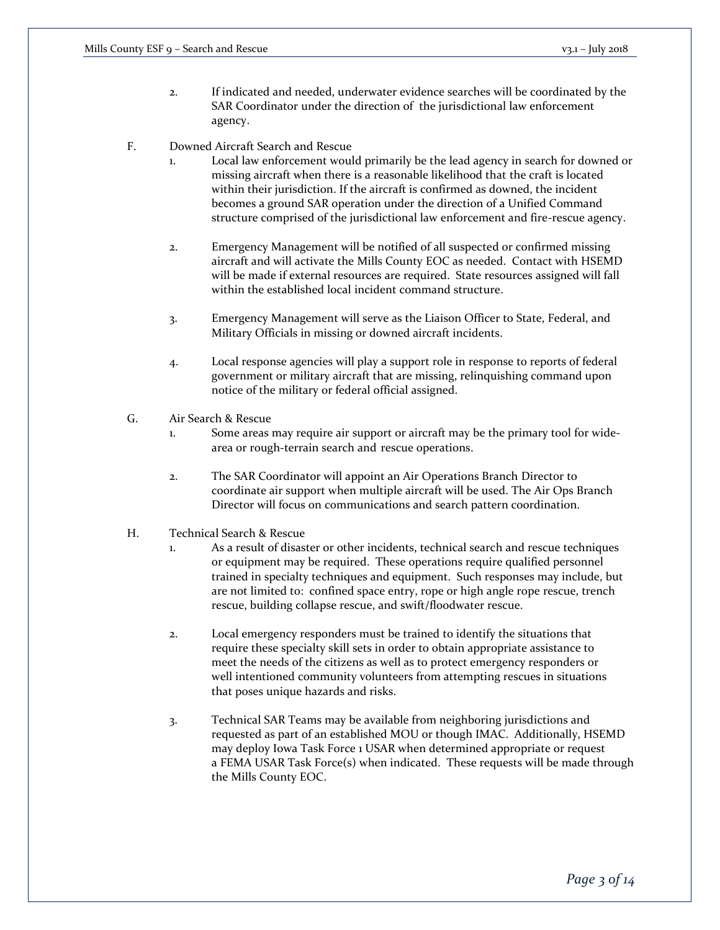- 2. If indicated and needed, underwater evidence searches will be coordinated by the SAR Coordinator under the direction of the jurisdictional law enforcement agency.
- F. Downed Aircraft Search and Rescue
	- 1. Local law enforcement would primarily be the lead agency in search for downed or missing aircraft when there is a reasonable likelihood that the craft is located within their jurisdiction. If the aircraft is confirmed as downed, the incident becomes a ground SAR operation under the direction of a Unified Command structure comprised of the jurisdictional law enforcement and fire-rescue agency.
	- 2. Emergency Management will be notified of all suspected or confirmed missing aircraft and will activate the Mills County EOC as needed. Contact with HSEMD will be made if external resources are required. State resources assigned will fall within the established local incident command structure.
	- 3. Emergency Management will serve as the Liaison Officer to State, Federal, and Military Officials in missing or downed aircraft incidents.
	- 4. Local response agencies will play a support role in response to reports of federal government or military aircraft that are missing, relinquishing command upon notice of the military or federal official assigned.
- G. Air Search & Rescue
	- 1. Some areas may require air support or aircraft may be the primary tool for widearea or rough-terrain search and rescue operations.
	- 2. The SAR Coordinator will appoint an Air Operations Branch Director to coordinate air support when multiple aircraft will be used. The Air Ops Branch Director will focus on communications and search pattern coordination.
- H. Technical Search & Rescue
	- 1. As a result of disaster or other incidents, technical search and rescue techniques or equipment may be required. These operations require qualified personnel trained in specialty techniques and equipment. Such responses may include, but are not limited to: confined space entry, rope or high angle rope rescue, trench rescue, building collapse rescue, and swift/floodwater rescue.
	- 2. Local emergency responders must be trained to identify the situations that require these specialty skill sets in order to obtain appropriate assistance to meet the needs of the citizens as well as to protect emergency responders or well intentioned community volunteers from attempting rescues in situations that poses unique hazards and risks.
	- 3. Technical SAR Teams may be available from neighboring jurisdictions and requested as part of an established MOU or though IMAC. Additionally, HSEMD may deploy Iowa Task Force 1 USAR when determined appropriate or request a FEMA USAR Task Force(s) when indicated. These requests will be made through the Mills County EOC.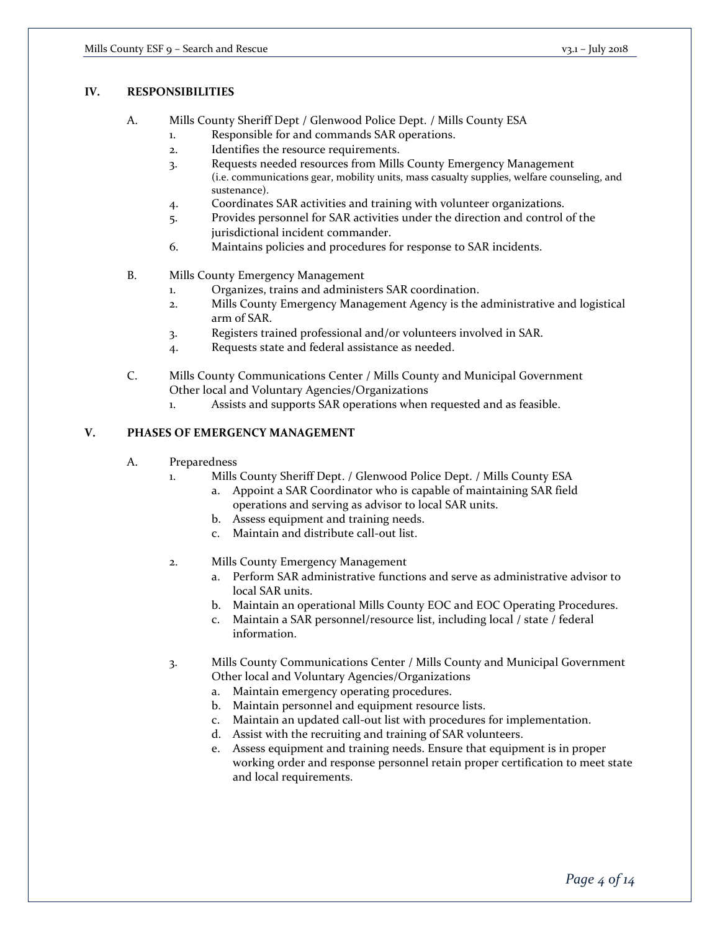## **IV. RESPONSIBILITIES**

- A. Mills County Sheriff Dept / Glenwood Police Dept. / Mills County ESA
	- 1. Responsible for and commands SAR operations.
	- 2. Identifies the resource requirements.
	- 3. Requests needed resources from Mills County Emergency Management (i.e. communications gear, mobility units, mass casualty supplies, welfare counseling, and sustenance).
	- 4. Coordinates SAR activities and training with volunteer organizations.
	- 5. Provides personnel for SAR activities under the direction and control of the jurisdictional incident commander.
	- 6. Maintains policies and procedures for response to SAR incidents.
- B. Mills County Emergency Management
	- 1. Organizes, trains and administers SAR coordination.
	- 2. Mills County Emergency Management Agency is the administrative and logistical arm of SAR.
	- 3. Registers trained professional and/or volunteers involved in SAR.
	- 4. Requests state and federal assistance as needed.
- C. Mills County Communications Center / Mills County and Municipal Government Other local and Voluntary Agencies/Organizations
	- 1. Assists and supports SAR operations when requested and as feasible.

## **V. PHASES OF EMERGENCY MANAGEMENT**

- A. Preparedness
	- 1. Mills County Sheriff Dept. / Glenwood Police Dept. / Mills County ESA
		- a. Appoint a SAR Coordinator who is capable of maintaining SAR field operations and serving as advisor to local SAR units.
		- b. Assess equipment and training needs.
		- c. Maintain and distribute call-out list.
	- 2. Mills County Emergency Management
		- a. Perform SAR administrative functions and serve as administrative advisor to local SAR units.
		- b. Maintain an operational Mills County EOC and EOC Operating Procedures.
		- c. Maintain a SAR personnel/resource list, including local / state / federal information.
	- 3. Mills County Communications Center / Mills County and Municipal Government Other local and Voluntary Agencies/Organizations
		- a. Maintain emergency operating procedures.
		- b. Maintain personnel and equipment resource lists.
		- c. Maintain an updated call-out list with procedures for implementation.
		- d. Assist with the recruiting and training of SAR volunteers.
		- e. Assess equipment and training needs. Ensure that equipment is in proper working order and response personnel retain proper certification to meet state and local requirements.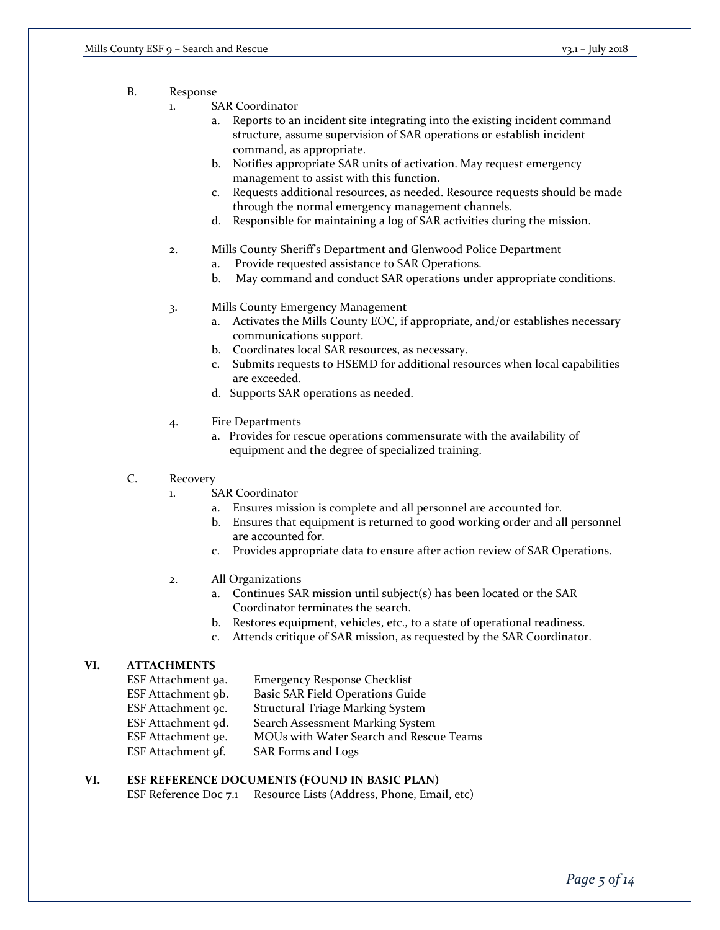- B. Response
	- 1. SAR Coordinator
		- a. Reports to an incident site integrating into the existing incident command structure, assume supervision of SAR operations or establish incident command, as appropriate.
		- b. Notifies appropriate SAR units of activation. May request emergency management to assist with this function.
		- c. Requests additional resources, as needed. Resource requests should be made through the normal emergency management channels.
		- d. Responsible for maintaining a log of SAR activities during the mission.
	- 2. Mills County Sheriff's Department and Glenwood Police Department
		- a. Provide requested assistance to SAR Operations.
		- b. May command and conduct SAR operations under appropriate conditions.
	- 3. Mills County Emergency Management
		- a. Activates the Mills County EOC, if appropriate, and/or establishes necessary communications support.
		- b. Coordinates local SAR resources, as necessary.
		- c. Submits requests to HSEMD for additional resources when local capabilities are exceeded.
		- d. Supports SAR operations as needed.
	- 4. Fire Departments
		- a. Provides for rescue operations commensurate with the availability of equipment and the degree of specialized training.
- C. Recovery
	- 1. SAR Coordinator
		- a. Ensures mission is complete and all personnel are accounted for.
		- b. Ensures that equipment is returned to good working order and all personnel are accounted for.
		- c. Provides appropriate data to ensure after action review of SAR Operations.
	- 2. All Organizations
		- a. Continues SAR mission until subject(s) has been located or the SAR Coordinator terminates the search.
		- b. Restores equipment, vehicles, etc., to a state of operational readiness.
		- c. Attends critique of SAR mission, as requested by the SAR Coordinator.

## **VI. ATTACHMENTS**

| ESF Attachment 9a. | <b>Emergency Response Checklist</b>     |
|--------------------|-----------------------------------------|
| ESF Attachment 9b. | <b>Basic SAR Field Operations Guide</b> |
| ESF Attachment 9c. | <b>Structural Triage Marking System</b> |
| ESF Attachment 9d. | Search Assessment Marking System        |
| ESF Attachment 9e. | MOUs with Water Search and Rescue Teams |
| ESF Attachment 9f. | SAR Forms and Logs                      |

## **VI. ESF REFERENCE DOCUMENTS (FOUND IN BASIC PLAN)**

ESF Reference Doc 7.1 Resource Lists (Address, Phone, Email, etc)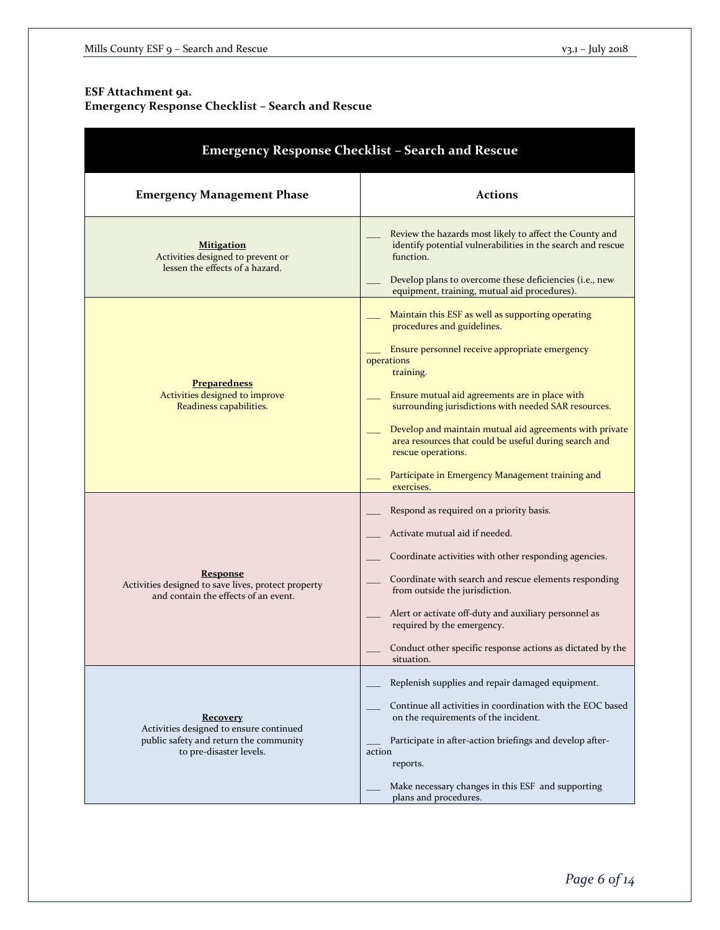# **ESF Attachment 9a.**

# **Emergency Response Checklist – Search and Rescue**

| <b>Emergency Response Checklist - Search and Rescue</b>                                                                  |                                                                                                                                                                                                                                                                                                                                                                                                                                                                                    |  |  |  |
|--------------------------------------------------------------------------------------------------------------------------|------------------------------------------------------------------------------------------------------------------------------------------------------------------------------------------------------------------------------------------------------------------------------------------------------------------------------------------------------------------------------------------------------------------------------------------------------------------------------------|--|--|--|
| <b>Emergency Management Phase</b>                                                                                        | <b>Actions</b>                                                                                                                                                                                                                                                                                                                                                                                                                                                                     |  |  |  |
| <b>Mitigation</b><br>Activities designed to prevent or<br>lessen the effects of a hazard.                                | Review the hazards most likely to affect the County and<br>identify potential vulnerabilities in the search and rescue<br>function.<br>Develop plans to overcome these deficiencies (i.e., new<br>equipment, training, mutual aid procedures).                                                                                                                                                                                                                                     |  |  |  |
| <b>Preparedness</b><br>Activities designed to improve<br>Readiness capabilities.                                         | Maintain this ESF as well as supporting operating<br>procedures and guidelines.<br>Ensure personnel receive appropriate emergency<br>operations<br>training.<br>Ensure mutual aid agreements are in place with<br>surrounding jurisdictions with needed SAR resources.<br>Develop and maintain mutual aid agreements with private<br>area resources that could be useful during search and<br>rescue operations.<br>Participate in Emergency Management training and<br>exercises. |  |  |  |
| <b>Response</b><br>Activities designed to save lives, protect property<br>and contain the effects of an event.           | Respond as required on a priority basis.<br>Activate mutual aid if needed.<br>Coordinate activities with other responding agencies.<br>Coordinate with search and rescue elements responding<br>from outside the jurisdiction.<br>Alert or activate off-duty and auxiliary personnel as<br>required by the emergency.<br>Conduct other specific response actions as dictated by the<br>situation.                                                                                  |  |  |  |
| Recovery<br>Activities designed to ensure continued<br>public safety and return the community<br>to pre-disaster levels. | Replenish supplies and repair damaged equipment.<br>Continue all activities in coordination with the EOC based<br>on the requirements of the incident.<br>Participate in after-action briefings and develop after-<br>action<br>reports.<br>Make necessary changes in this ESF and supporting<br>plans and procedures.                                                                                                                                                             |  |  |  |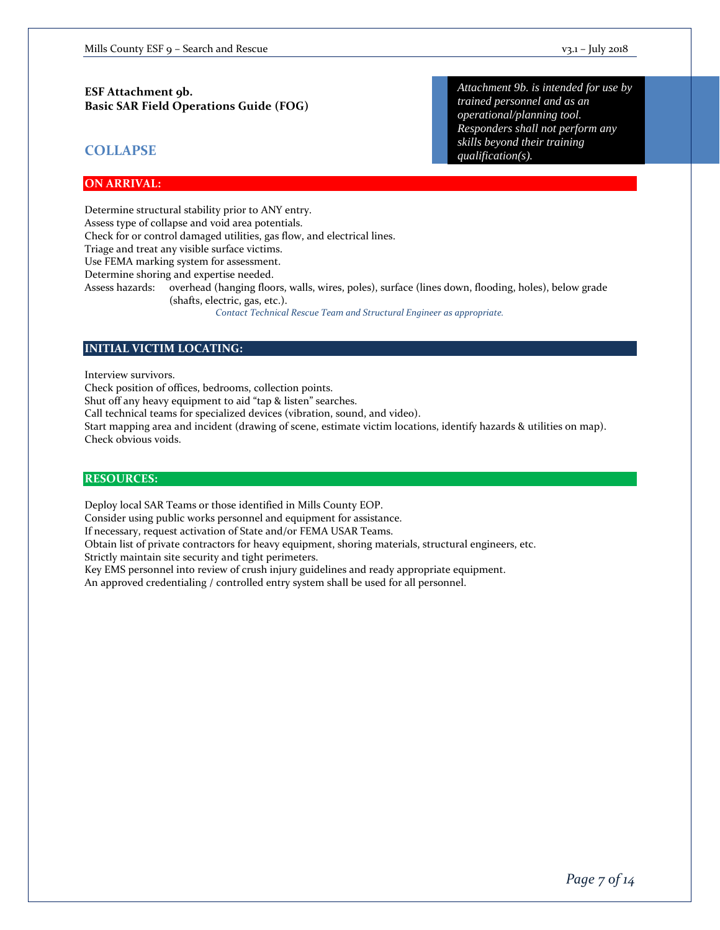### **ESF Attachment 9b. Basic SAR Field Operations Guide (FOG)**

## **COLLAPSE**

*Attachment 9b. is intended for use by trained personnel and as an operational/planning tool. Responders shall not perform any skills beyond their training qualification(s).* 

#### **ON ARRIVAL:**

Determine structural stability prior to ANY entry. Assess type of collapse and void area potentials. Check for or control damaged utilities, gas flow, and electrical lines. Triage and treat any visible surface victims. Use FEMA marking system for assessment. Determine shoring and expertise needed. Assess hazards: overhead (hanging floors, walls, wires, poles), surface (lines down, flooding, holes), below grade (shafts, electric, gas, etc.). *Contact Technical Rescue Team and Structural Engineer as appropriate.* 

## **INITIAL VICTIM LOCATING:**

Interview survivors.

Check position of offices, bedrooms, collection points.

Shut off any heavy equipment to aid "tap & listen" searches.

Call technical teams for specialized devices (vibration, sound, and video).

Start mapping area and incident (drawing of scene, estimate victim locations, identify hazards & utilities on map). Check obvious voids.

#### **RESOURCES:**

Deploy local SAR Teams or those identified in Mills County EOP.

Consider using public works personnel and equipment for assistance.

If necessary, request activation of State and/or FEMA USAR Teams.

Obtain list of private contractors for heavy equipment, shoring materials, structural engineers, etc.

Strictly maintain site security and tight perimeters.

Key EMS personnel into review of crush injury guidelines and ready appropriate equipment.

An approved credentialing / controlled entry system shall be used for all personnel.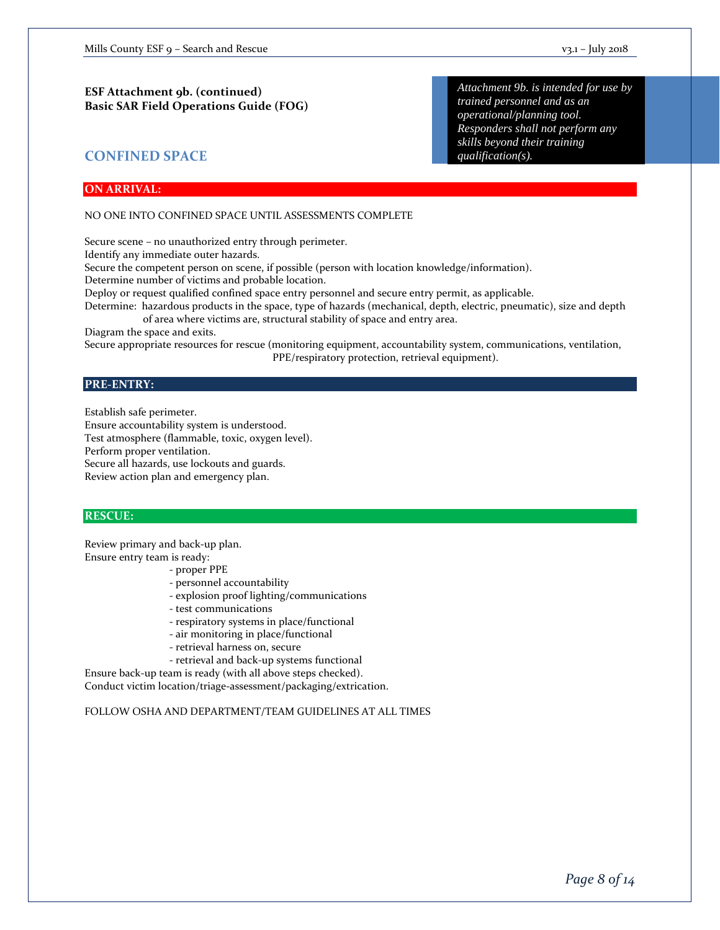*skills beyond their training* 

*qualification(s).* 

## **CONFINED SPACE**

### **ON ARRIVAL:**

NO ONE INTO CONFINED SPACE UNTIL ASSESSMENTS COMPLETE

Secure scene – no unauthorized entry through perimeter.

Identify any immediate outer hazards.

Secure the competent person on scene, if possible (person with location knowledge/information).

Determine number of victims and probable location.

Deploy or request qualified confined space entry personnel and secure entry permit, as applicable.

Determine: hazardous products in the space, type of hazards (mechanical, depth, electric, pneumatic), size and depth of area where victims are, structural stability of space and entry area.

Diagram the space and exits.

Secure appropriate resources for rescue (monitoring equipment, accountability system, communications, ventilation, PPE/respiratory protection, retrieval equipment).

#### **PRE-ENTRY:**

Establish safe perimeter. Ensure accountability system is understood. Test atmosphere (flammable, toxic, oxygen level). Perform proper ventilation. Secure all hazards, use lockouts and guards. Review action plan and emergency plan.

#### **RESCUE:**

Review primary and back-up plan. Ensure entry team is ready:

- proper PPE
- personnel accountability
- explosion proof lighting/communications
- test communications
- respiratory systems in place/functional
- air monitoring in place/functional
- retrieval harness on, secure
- retrieval and back-up systems functional

Ensure back-up team is ready (with all above steps checked). Conduct victim location/triage-assessment/packaging/extrication.

FOLLOW OSHA AND DEPARTMENT/TEAM GUIDELINES AT ALL TIMES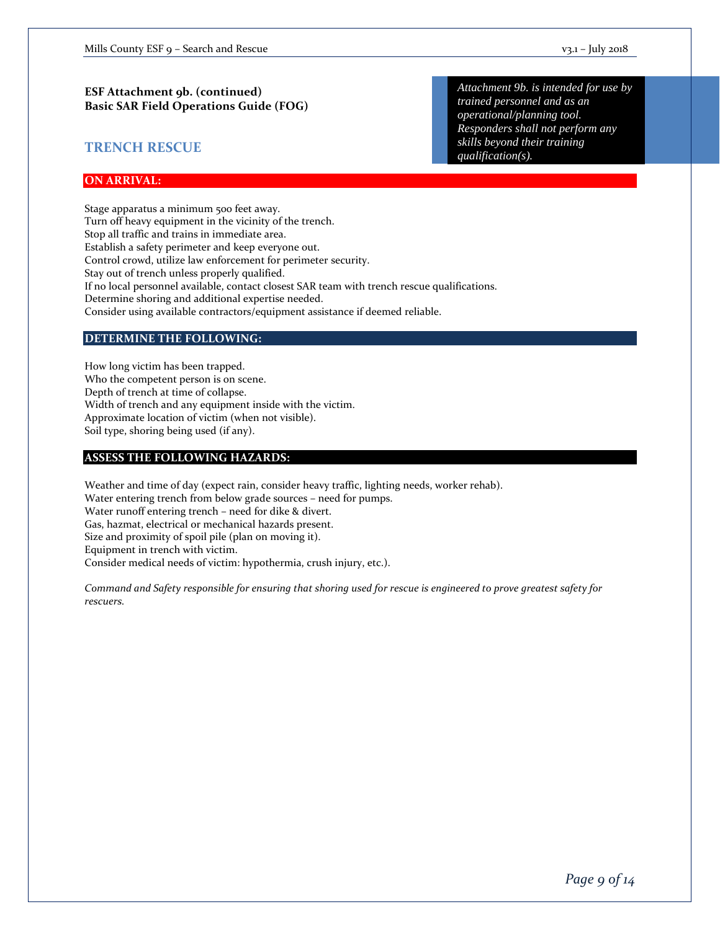## **TRENCH RESCUE**

*Attachment 9b. is intended for use by trained personnel and as an operational/planning tool. Responders shall not perform any skills beyond their training qualification(s).* 

#### **ON ARRIVAL:**

Stage apparatus a minimum 500 feet away. Turn off heavy equipment in the vicinity of the trench. Stop all traffic and trains in immediate area. Establish a safety perimeter and keep everyone out. Control crowd, utilize law enforcement for perimeter security. Stay out of trench unless properly qualified. If no local personnel available, contact closest SAR team with trench rescue qualifications. Determine shoring and additional expertise needed. Consider using available contractors/equipment assistance if deemed reliable.

#### **DETERMINE THE FOLLOWING:**

How long victim has been trapped. Who the competent person is on scene. Depth of trench at time of collapse. Width of trench and any equipment inside with the victim. Approximate location of victim (when not visible). Soil type, shoring being used (if any).

#### **ASSESS THE FOLLOWING HAZARDS:**

Weather and time of day (expect rain, consider heavy traffic, lighting needs, worker rehab). Water entering trench from below grade sources – need for pumps. Water runoff entering trench – need for dike & divert. Gas, hazmat, electrical or mechanical hazards present. Size and proximity of spoil pile (plan on moving it). Equipment in trench with victim. Consider medical needs of victim: hypothermia, crush injury, etc.).

*Command and Safety responsible for ensuring that shoring used for rescue is engineered to prove greatest safety for rescuers.*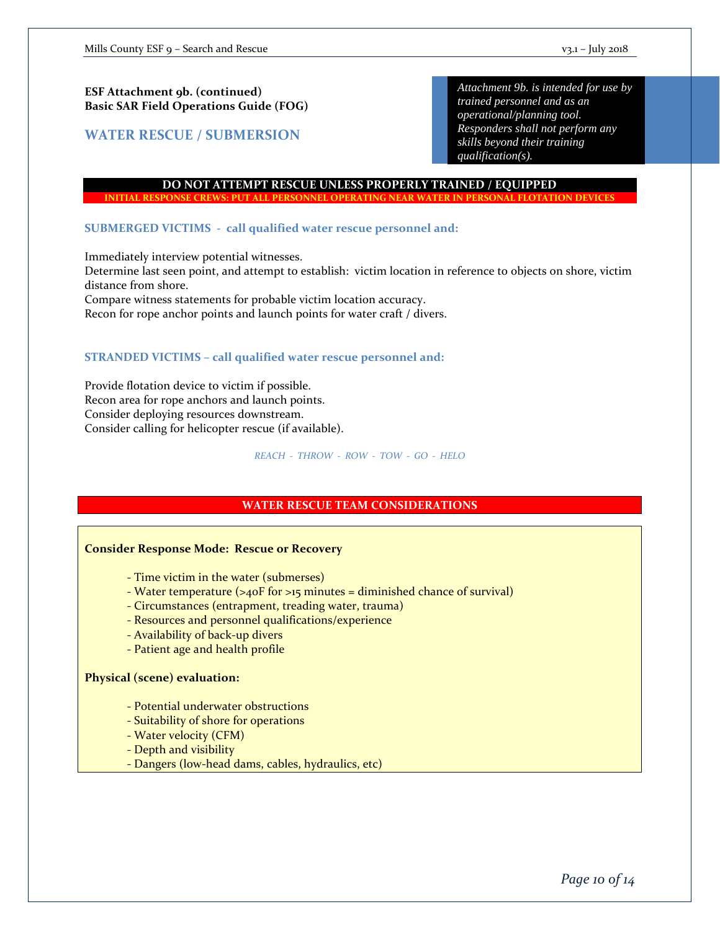## **ESF Attachment 9b. (continued) Basic SAR Field Operations Guide (FOG)**

**WATER RESCUE / SUBMERSION**

*Attachment 9b. is intended for use by trained personnel and as an operational/planning tool. Responders shall not perform any skills beyond their training qualification(s).* 

#### **DO NOT ATTEMPT RESCUE UNLESS PROPERLY TRAINED / EQUIPPED**

#### **INITIAL RESPONSE CREWS: PUT ALL PERSONNEL OPERATING NEAR WATER IN PERSONAL FLOTATION DEVICES**

#### **SUBMERGED VICTIMS - call qualified water rescue personnel and:**

Immediately interview potential witnesses.

Determine last seen point, and attempt to establish: victim location in reference to objects on shore, victim distance from shore.

Compare witness statements for probable victim location accuracy.

Recon for rope anchor points and launch points for water craft / divers.

#### **STRANDED VICTIMS – call qualified water rescue personnel and:**

Provide flotation device to victim if possible. Recon area for rope anchors and launch points. Consider deploying resources downstream. Consider calling for helicopter rescue (if available).

#### *REACH - THROW - ROW - TOW - GO - HELO*

#### **WATER RESCUE TEAM CONSIDERATIONS**

#### **Consider Response Mode: Rescue or Recovery**

- Time victim in the water (submerses)

- Water temperature ( $>40$ F for  $>15$  minutes = diminished chance of survival)
- Circumstances (entrapment, treading water, trauma)
- Resources and personnel qualifications/experience
- Availability of back-up divers
- Patient age and health profile

#### **Physical (scene) evaluation:**

- Potential underwater obstructions
- Suitability of shore for operations
- Water velocity (CFM)
- Depth and visibility
- Dangers (low-head dams, cables, hydraulics, etc)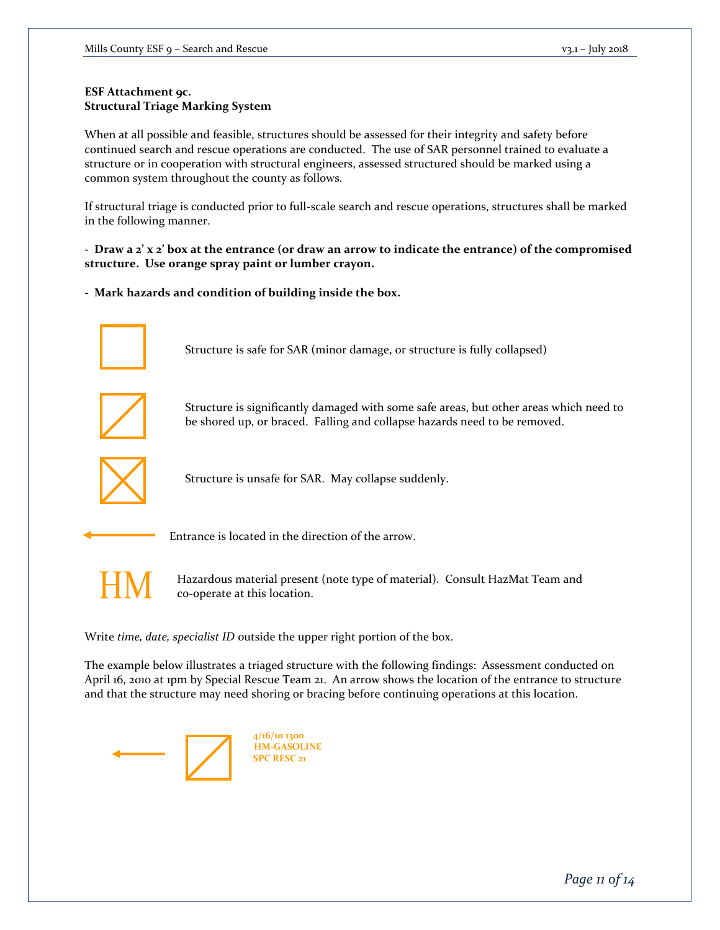## **ESF Attachment 9c. Structural Triage Marking System**

When at all possible and feasible, structures should be assessed for their integrity and safety before continued search and rescue operations are conducted. The use of SAR personnel trained to evaluate a structure or in cooperation with structural engineers, assessed structured should be marked using a common system throughout the county as follows.

If structural triage is conducted prior to full-scale search and rescue operations, structures shall be marked in the following manner.

**- Draw a 2' x 2' box at the entrance (or draw an arrow to indicate the entrance) of the compromised structure. Use orange spray paint or lumber crayon.**

**- Mark hazards and condition of building inside the box.** 



Structure is safe for SAR (minor damage, or structure is fully collapsed)



Structure is significantly damaged with some safe areas, but other areas which need to be shored up, or braced. Falling and collapse hazards need to be removed.



Structure is unsafe for SAR. May collapse suddenly.



Entrance is located in the direction of the arrow.



Hazardous material present (note type of material). Consult HazMat Team and co-operate at this location.

Write *time, date, specialist ID* outside the upper right portion of the box.

The example below illustrates a triaged structure with the following findings: Assessment conducted on April 16, 2010 at 1pm by Special Rescue Team 21. An arrow shows the location of the entrance to structure and that the structure may need shoring or bracing before continuing operations at this location.



**4/16/10 1300 HM-GASOLINE SPC RESC 21**

*Page 11 of 14*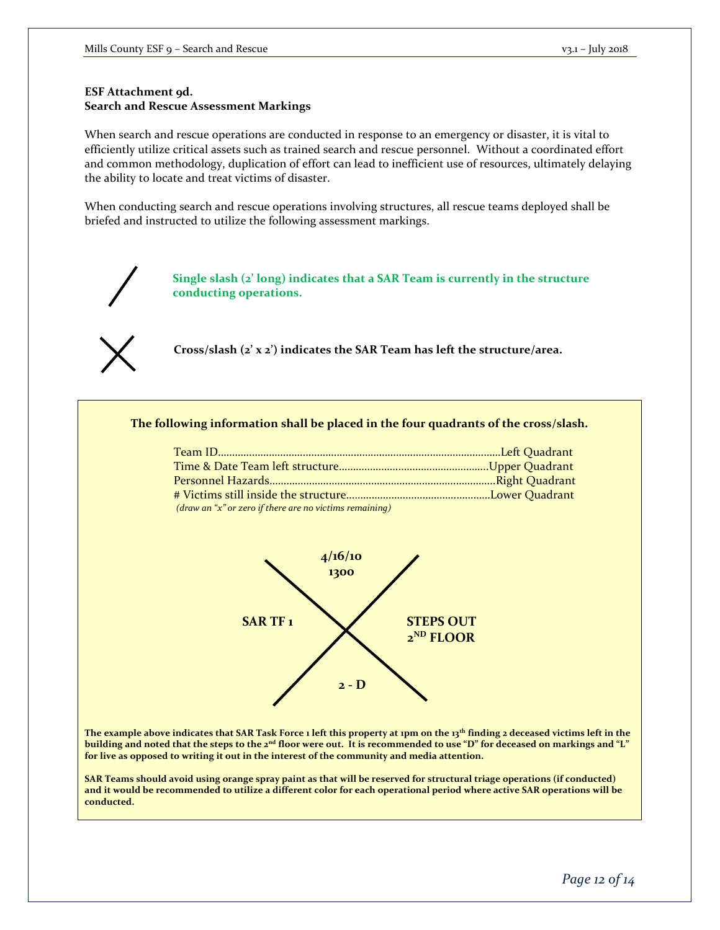### **ESF Attachment 9d. Search and Rescue Assessment Markings**

When search and rescue operations are conducted in response to an emergency or disaster, it is vital to efficiently utilize critical assets such as trained search and rescue personnel. Without a coordinated effort and common methodology, duplication of effort can lead to inefficient use of resources, ultimately delaying the ability to locate and treat victims of disaster.

When conducting search and rescue operations involving structures, all rescue teams deployed shall be briefed and instructed to utilize the following assessment markings.



**Single slash (2' long) indicates that a SAR Team is currently in the structure conducting operations.** 



**Cross/slash (2' x 2') indicates the SAR Team has left the structure/area.** 

**The following information shall be placed in the four quadrants of the cross/slash.**

| $draw$ an "x" or zero if there are no victims remaining) |  |
|----------------------------------------------------------|--|



**The example above indicates that SAR Task Force 1 left this property at 1pm on the 13th finding 2 deceased victims left in the building and noted that the steps to the 2nd floor were out. It is recommended to use "D" for deceased on markings and "L" for live as opposed to writing it out in the interest of the community and media attention.** 

**SAR Teams should avoid using orange spray paint as that will be reserved for structural triage operations (if conducted) and it would be recommended to utilize a different color for each operational period where active SAR operations will be conducted.**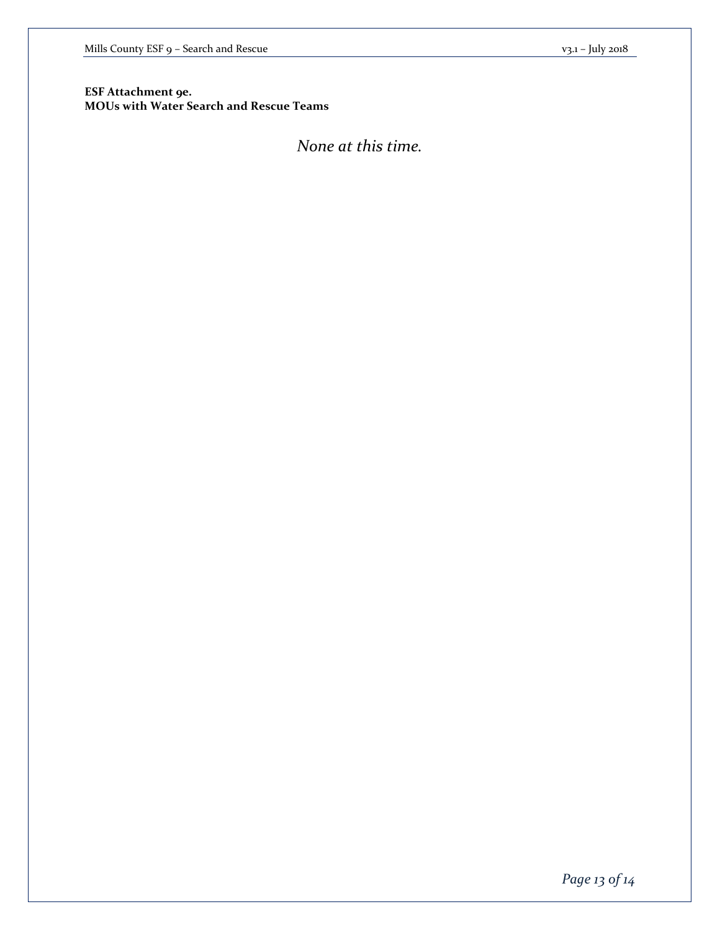**ESF Attachment 9e. MOUs with Water Search and Rescue Teams**

# *None at this time.*